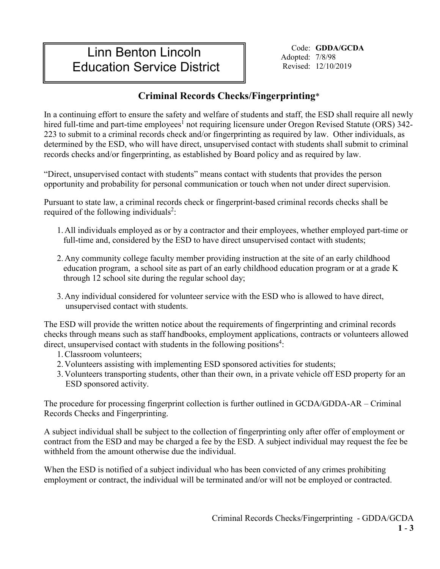# Linn Benton Lincoln Education Service District

Code: **GDDA/GCDA**  Adopted: 7/8/98 Revised: 12/10/2019

## **Criminal Records Checks/Fingerprinting**\*

In a continuing effort to ensure the safety and welfare of students and staff, the ESD shall require all newly hired full-time and part-time employees<sup>1</sup> not requiring licensure under Oregon Revised Statute (ORS) 342-223 to submit to a criminal records check and/or fingerprinting as required by law. Other individuals, as determined by the ESD, who will have direct, unsupervised contact with students shall submit to criminal records checks and/or fingerprinting, as established by Board policy and as required by law.

"Direct, unsupervised contact with students" means contact with students that provides the person opportunity and probability for personal communication or touch when not under direct supervision.

Pursuant to state law, a criminal records check or fingerprint-based criminal records checks shall be required of the following individuals<sup>2</sup>:

- 1. All individuals employed as or by a contractor and their employees, whether employed part-time or full-time and, considered by the ESD to have direct unsupervised contact with students;
- 2. Any community college faculty member providing instruction at the site of an early childhood education program, a school site as part of an early childhood education program or at a grade K through 12 school site during the regular school day;
- 3. Any individual considered for volunteer service with the ESD who is allowed to have direct, unsupervised contact with students.

The ESD will provide the written notice about the requirements of fingerprinting and criminal records checks through means such as staff handbooks, employment applications, contracts or volunteers allowed direct, unsupervised contact with students in the following positions<sup>4</sup>:

- 1.Classroom volunteers;
- 2. Volunteers assisting with implementing ESD sponsored activities for students;
- 3. Volunteers transporting students, other than their own, in a private vehicle off ESD property for an ESD sponsored activity.

The procedure for processing fingerprint collection is further outlined in GCDA/GDDA-AR – Criminal Records Checks and Fingerprinting.

A subject individual shall be subject to the collection of fingerprinting only after offer of employment or contract from the ESD and may be charged a fee by the ESD. A subject individual may request the fee be withheld from the amount otherwise due the individual.

When the ESD is notified of a subject individual who has been convicted of any crimes prohibiting employment or contract, the individual will be terminated and/or will not be employed or contracted.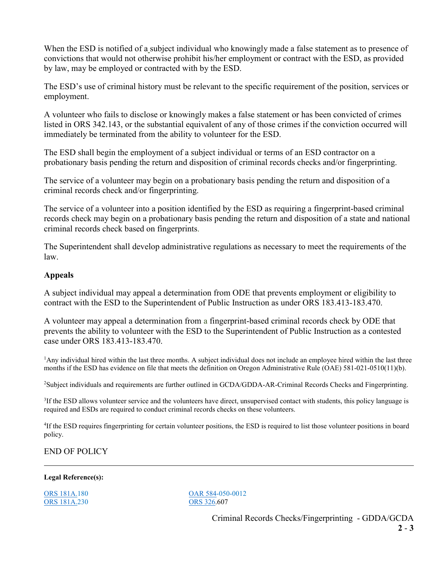When the ESD is notified of a subject individual who knowingly made a false statement as to presence of convictions that would not otherwise prohibit his/her employment or contract with the ESD, as provided by law, may be employed or contracted with by the ESD.

The ESD's use of criminal history must be relevant to the specific requirement of the position, services or employment.

A volunteer who fails to disclose or knowingly makes a false statement or has been convicted of crimes listed in ORS 342.143, or the substantial equivalent of any of those crimes if the conviction occurred will immediately be terminated from the ability to volunteer for the ESD.

The ESD shall begin the employment of a subject individual or terms of an ESD contractor on a probationary basis pending the return and disposition of criminal records checks and/or fingerprinting.

The service of a volunteer may begin on a probationary basis pending the return and disposition of a criminal records check and/or fingerprinting.

The service of a volunteer into a position identified by the ESD as requiring a fingerprint-based criminal records check may begin on a probationary basis pending the return and disposition of a state and national criminal records check based on fingerprints.

The Superintendent shall develop administrative regulations as necessary to meet the requirements of the law.

#### **Appeals**

A subject individual may appeal a determination from ODE that prevents employment or eligibility to contract with the ESD to the Superintendent of Public Instruction as under ORS 183.413-183.470.

A volunteer may appeal a determination from a fingerprint-based criminal records check by ODE that prevents the ability to volunteer with the ESD to the Superintendent of Public Instruction as a contested case under ORS 183.413-183.470.

<sup>1</sup>Any individual hired within the last three months. A subject individual does not include an employee hired within the last three months if the ESD has evidence on file that meets the definition on Oregon Administrative Rule (OAE) 581-021-0510(11)(b).

2 Subject individuals and requirements are further outlined in GCDA/GDDA-AR-Criminal Records Checks and Fingerprinting.

<sup>3</sup>If the ESD allows volunteer service and the volunteers have direct, unsupervised contact with students, this policy language is required and ESDs are required to conduct criminal records checks on these volunteers.

<sup>4</sup>If the ESD requires fingerprinting for certain volunteer positions, the ESD is required to list those volunteer positions in board policy.

### END OF POLICY

#### **Legal Reference(s):**

[ORS 181A.2](https://www.oregonlaws.org/ors/chapter/181)30

[ORS 181A.1](https://www.oregonlaws.org/ors/chapter/181)80<br>
ORS 181A.230<br>
ORS 326.607